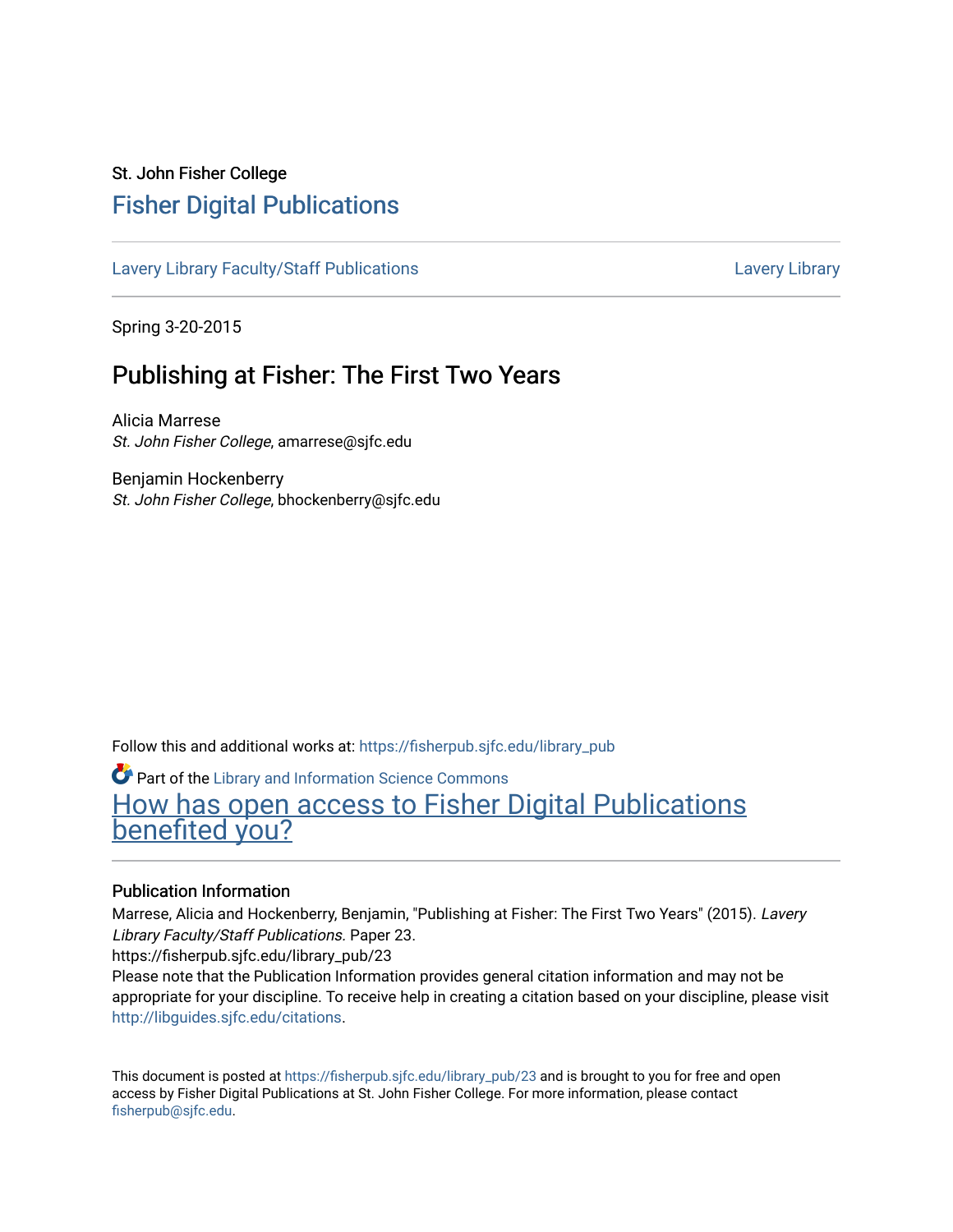## St. John Fisher College [Fisher Digital Publications](https://fisherpub.sjfc.edu/)

[Lavery Library Faculty/Staff Publications](https://fisherpub.sjfc.edu/library_pub) **Latter Controllery Library Library** Lavery Library

Spring 3-20-2015

# Publishing at Fisher: The First Two Years

Alicia Marrese St. John Fisher College, amarrese@sjfc.edu

Benjamin Hockenberry St. John Fisher College, bhockenberry@sjfc.edu

Follow this and additional works at: [https://fisherpub.sjfc.edu/library\\_pub](https://fisherpub.sjfc.edu/library_pub?utm_source=fisherpub.sjfc.edu%2Flibrary_pub%2F23&utm_medium=PDF&utm_campaign=PDFCoverPages)

Part of the [Library and Information Science Commons](http://network.bepress.com/hgg/discipline/1018?utm_source=fisherpub.sjfc.edu%2Flibrary_pub%2F23&utm_medium=PDF&utm_campaign=PDFCoverPages)  [How has open access to Fisher Digital Publications](https://docs.google.com/forms/d/14zrnDfH9d1wcdq8oG_-gFabAsxfcH5claltx85ZWyTg/viewform?entry.1394608989=https://fisherpub.sjfc.edu/library_pub/23%3Chttps://docs.google.com/forms/d/14zrnDfH9d1wcdq8oG_-gFabAsxfcH5claltx85ZWyTg/viewform?entry.1394608989=%7bhttps://fisherpub.sjfc.edu/library_pub/23%7d) [benefited you?](https://docs.google.com/forms/d/14zrnDfH9d1wcdq8oG_-gFabAsxfcH5claltx85ZWyTg/viewform?entry.1394608989=https://fisherpub.sjfc.edu/library_pub/23%3Chttps://docs.google.com/forms/d/14zrnDfH9d1wcdq8oG_-gFabAsxfcH5claltx85ZWyTg/viewform?entry.1394608989=%7bhttps://fisherpub.sjfc.edu/library_pub/23%7d)

### Publication Information

Marrese, Alicia and Hockenberry, Benjamin, "Publishing at Fisher: The First Two Years" (2015). Lavery Library Faculty/Staff Publications. Paper 23.

https://fisherpub.sjfc.edu/library\_pub/23

Please note that the Publication Information provides general citation information and may not be appropriate for your discipline. To receive help in creating a citation based on your discipline, please visit [http://libguides.sjfc.edu/citations.](http://libguides.sjfc.edu/citations)

This document is posted at [https://fisherpub.sjfc.edu/library\\_pub/23](https://fisherpub.sjfc.edu/library_pub/23) and is brought to you for free and open access by Fisher Digital Publications at St. John Fisher College. For more information, please contact [fisherpub@sjfc.edu](mailto:fisherpub@sjfc.edu).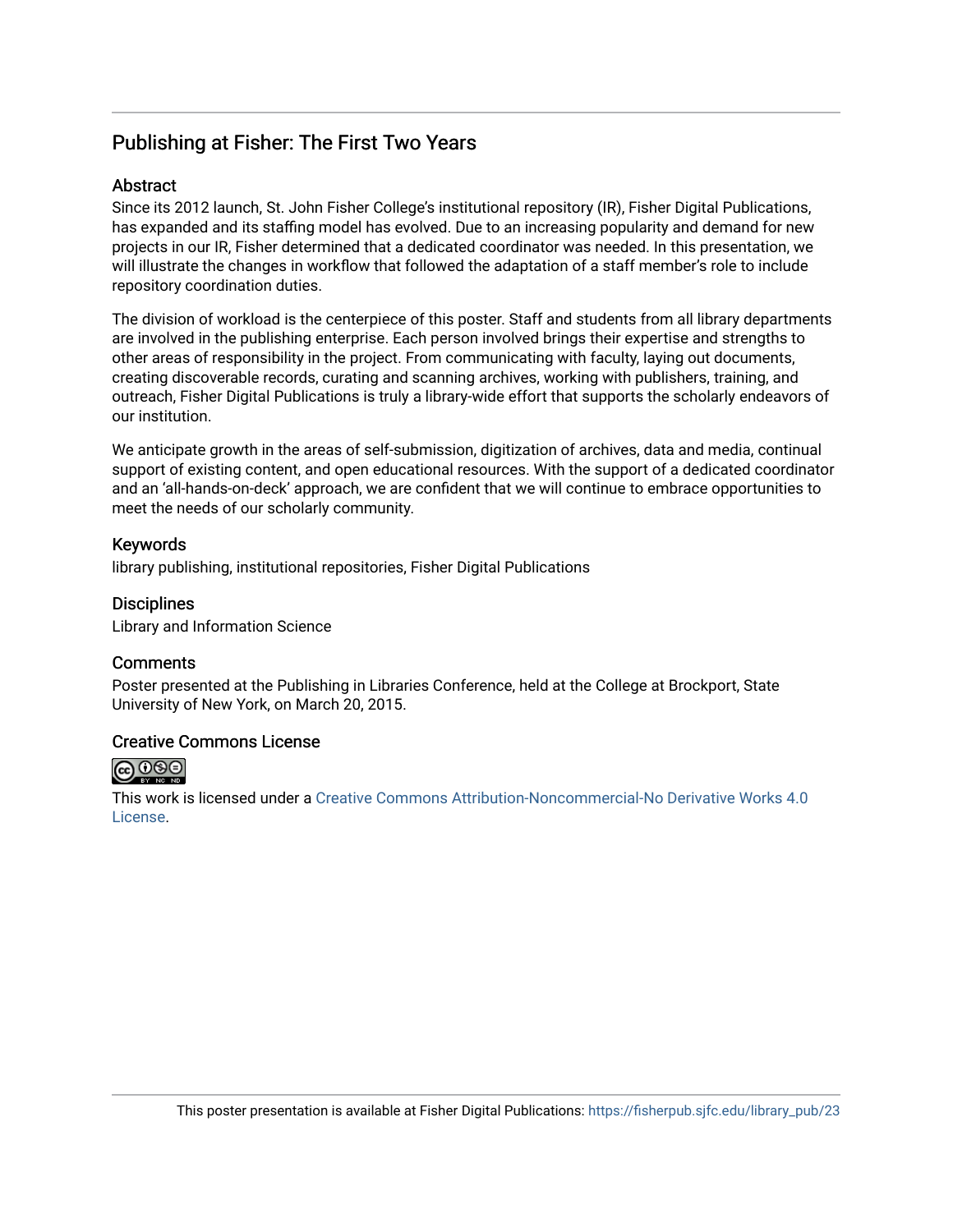## Publishing at Fisher: The First Two Years

### **Abstract**

Since its 2012 launch, St. John Fisher College's institutional repository (IR), Fisher Digital Publications, has expanded and its staffing model has evolved. Due to an increasing popularity and demand for new projects in our IR, Fisher determined that a dedicated coordinator was needed. In this presentation, we will illustrate the changes in workflow that followed the adaptation of a staff member's role to include repository coordination duties.

The division of workload is the centerpiece of this poster. Staff and students from all library departments are involved in the publishing enterprise. Each person involved brings their expertise and strengths to other areas of responsibility in the project. From communicating with faculty, laying out documents, creating discoverable records, curating and scanning archives, working with publishers, training, and outreach, Fisher Digital Publications is truly a library-wide effort that supports the scholarly endeavors of our institution.

We anticipate growth in the areas of self-submission, digitization of archives, data and media, continual support of existing content, and open educational resources. With the support of a dedicated coordinator and an 'all-hands-on-deck' approach, we are confident that we will continue to embrace opportunities to meet the needs of our scholarly community.

### Keywords

library publishing, institutional repositories, Fisher Digital Publications

**Disciplines** Library and Information Science

## **Comments**

Poster presented at the Publishing in Libraries Conference, held at the College at Brockport, State University of New York, on March 20, 2015.

### Creative Commons License



This work is licensed under a [Creative Commons Attribution-Noncommercial-No Derivative Works 4.0](https://creativecommons.org/licenses/by-nc-nd/4.0/) [License](https://creativecommons.org/licenses/by-nc-nd/4.0/).